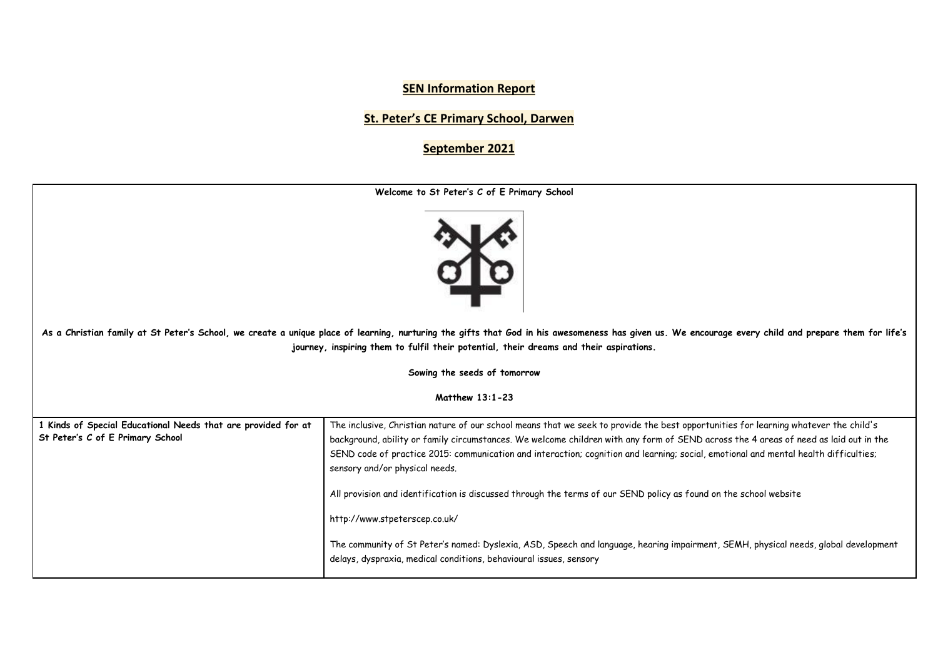## **SEN Information Report**

**St. Peter's CE Primary School, Darwen**

## **September 2021**

| Welcome to St Peter's C of E Primary School                                                                                                                                                                                                                                                                                                       |                                                                                                                                                                                                                                                                                                                                                                                                                                                                                                                                                                                                                                                                                                                                                                                                                           |
|---------------------------------------------------------------------------------------------------------------------------------------------------------------------------------------------------------------------------------------------------------------------------------------------------------------------------------------------------|---------------------------------------------------------------------------------------------------------------------------------------------------------------------------------------------------------------------------------------------------------------------------------------------------------------------------------------------------------------------------------------------------------------------------------------------------------------------------------------------------------------------------------------------------------------------------------------------------------------------------------------------------------------------------------------------------------------------------------------------------------------------------------------------------------------------------|
| As a Christian family at St Peter's School, we create a unique place of learning, nurturing the gifts that God in his awesomeness has given us. We encourage every child and prepare them for life's<br>journey, inspiring them to fulfil their potential, their dreams and their aspirations.<br>Sowing the seeds of tomorrow<br>Matthew 13:1-23 |                                                                                                                                                                                                                                                                                                                                                                                                                                                                                                                                                                                                                                                                                                                                                                                                                           |
| 1 Kinds of Special Educational Needs that are provided for at<br>St Peter's C of E Primary School                                                                                                                                                                                                                                                 | The inclusive, Christian nature of our school means that we seek to provide the best opportunities for learning whatever the child's<br>background, ability or family circumstances. We welcome children with any form of SEND across the 4 areas of need as laid out in the<br>SEND code of practice 2015: communication and interaction; cognition and learning; social, emotional and mental health difficulties;<br>sensory and/or physical needs.<br>All provision and identification is discussed through the terms of our SEND policy as found on the school website<br>http://www.stpeterscep.co.uk/<br>The community of St Peter's named: Dyslexia, ASD, Speech and language, hearing impairment, SEMH, physical needs, global development<br>delays, dyspraxia, medical conditions, behavioural issues, sensory |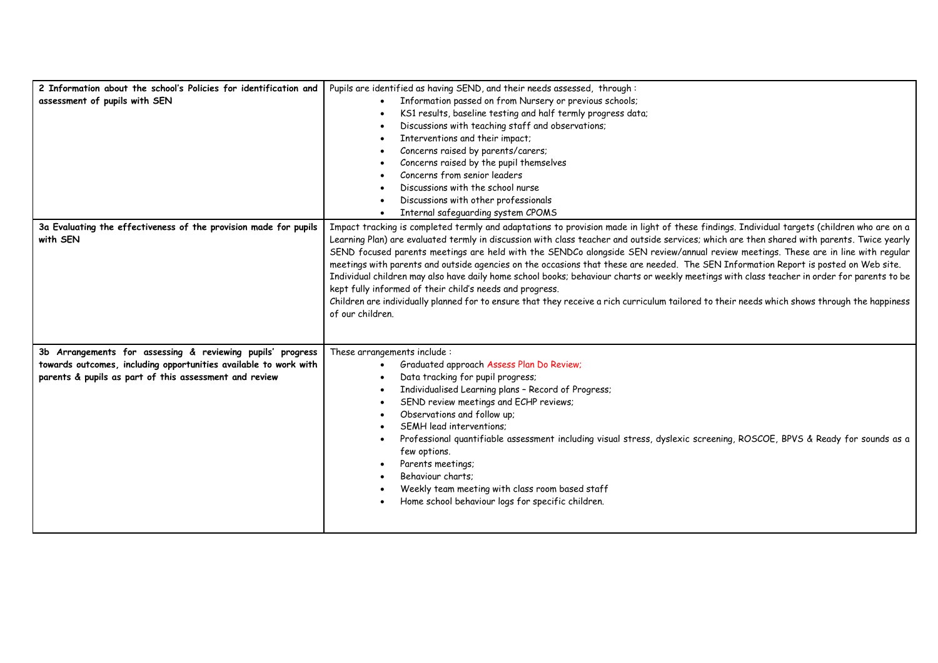| 2 Information about the school's Policies for identification and<br>assessment of pupils with SEN                                                                                        | Pupils are identified as having SEND, and their needs assessed, through:<br>Information passed on from Nursery or previous schools;<br>KS1 results, baseline testing and half termly progress data;<br>Discussions with teaching staff and observations;<br>Interventions and their impact;<br>Concerns raised by parents/carers;<br>Concerns raised by the pupil themselves<br>Concerns from senior leaders<br>Discussions with the school nurse<br>Discussions with other professionals<br>Internal safeguarding system CPOMS                                                                                                                                                                                                                                                                                                                                                                                                                           |
|------------------------------------------------------------------------------------------------------------------------------------------------------------------------------------------|-----------------------------------------------------------------------------------------------------------------------------------------------------------------------------------------------------------------------------------------------------------------------------------------------------------------------------------------------------------------------------------------------------------------------------------------------------------------------------------------------------------------------------------------------------------------------------------------------------------------------------------------------------------------------------------------------------------------------------------------------------------------------------------------------------------------------------------------------------------------------------------------------------------------------------------------------------------|
| 3a Evaluating the effectiveness of the provision made for pupils<br>with SEN                                                                                                             | Impact tracking is completed termly and adaptations to provision made in light of these findings. Individual targets (children who are on a<br>Learning Plan) are evaluated termly in discussion with class teacher and outside services; which are then shared with parents. Twice yearly<br>SEND focused parents meetings are held with the SENDCo alongside SEN review/annual review meetings. These are in line with regular<br>meetings with parents and outside agencies on the occasions that these are needed. The SEN Information Report is posted on Web site.<br>Individual children may also have daily home school books; behaviour charts or weekly meetings with class teacher in order for parents to be<br>kept fully informed of their child's needs and progress.<br>Children are individually planned for to ensure that they receive a rich curriculum tailored to their needs which shows through the happiness<br>of our children. |
| 3b Arrangements for assessing & reviewing pupils' progress<br>towards outcomes, including opportunities available to work with<br>parents & pupils as part of this assessment and review | These arrangements include:<br>Graduated approach Assess Plan Do Review;<br>Data tracking for pupil progress;<br>$\bullet$<br>Individualised Learning plans - Record of Progress;<br>$\bullet$<br>SEND review meetings and ECHP reviews;<br>$\bullet$<br>Observations and follow up;<br>$\bullet$<br>SEMH lead interventions:<br>Professional quantifiable assessment including visual stress, dyslexic screening, ROSCOE, BPVS & Ready for sounds as a<br>few options.<br>Parents meetings;<br>Behaviour charts:<br>Weekly team meeting with class room based staff<br>Home school behaviour logs for specific children.                                                                                                                                                                                                                                                                                                                                 |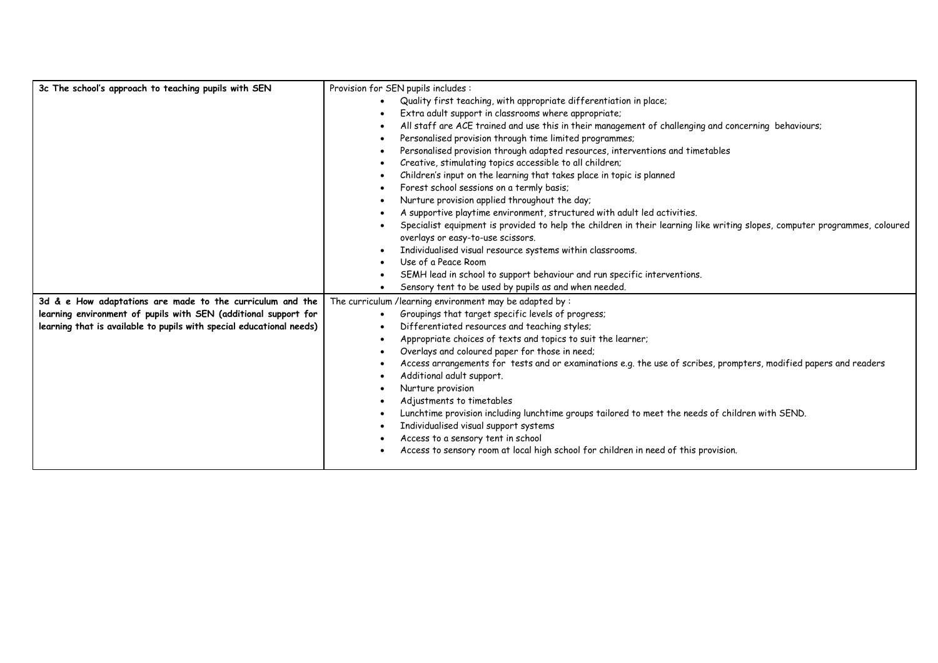| 3c The school's approach to teaching pupils with SEN                 | Provision for SEN pupils includes :                                                                                        |
|----------------------------------------------------------------------|----------------------------------------------------------------------------------------------------------------------------|
|                                                                      | Quality first teaching, with appropriate differentiation in place;                                                         |
|                                                                      | Extra adult support in classrooms where appropriate;                                                                       |
|                                                                      | All staff are ACE trained and use this in their management of challenging and concerning behaviours;                       |
|                                                                      | Personalised provision through time limited programmes;                                                                    |
|                                                                      | Personalised provision through adapted resources, interventions and timetables                                             |
|                                                                      | Creative, stimulating topics accessible to all children;                                                                   |
|                                                                      | Children's input on the learning that takes place in topic is planned                                                      |
|                                                                      | Forest school sessions on a termly basis;                                                                                  |
|                                                                      | Nurture provision applied throughout the day;                                                                              |
|                                                                      | A supportive playtime environment, structured with adult led activities.                                                   |
|                                                                      | Specialist equipment is provided to help the children in their learning like writing slopes, computer programmes, coloured |
|                                                                      | overlays or easy-to-use scissors.                                                                                          |
|                                                                      | Individualised visual resource systems within classrooms.                                                                  |
|                                                                      | Use of a Peace Room                                                                                                        |
|                                                                      | SEMH lead in school to support behaviour and run specific interventions.                                                   |
|                                                                      | Sensory tent to be used by pupils as and when needed.                                                                      |
| 3d & e How adaptations are made to the curriculum and the            | The curriculum /learning environment may be adapted by:                                                                    |
| learning environment of pupils with SEN (additional support for      | Groupings that target specific levels of progress;                                                                         |
| learning that is available to pupils with special educational needs) | Differentiated resources and teaching styles;<br>$\bullet$                                                                 |
|                                                                      | Appropriate choices of texts and topics to suit the learner;                                                               |
|                                                                      | Overlays and coloured paper for those in need;<br>٠                                                                        |
|                                                                      | Access arrangements for tests and or examinations e.g. the use of scribes, prompters, modified papers and readers          |
|                                                                      | Additional adult support.                                                                                                  |
|                                                                      | Nurture provision                                                                                                          |
|                                                                      | Adjustments to timetables                                                                                                  |
|                                                                      | Lunchtime provision including lunchtime groups tailored to meet the needs of children with SEND.<br>٠                      |
|                                                                      | Individualised visual support systems                                                                                      |
|                                                                      | Access to a sensory tent in school                                                                                         |
|                                                                      | Access to sensory room at local high school for children in need of this provision.                                        |
|                                                                      |                                                                                                                            |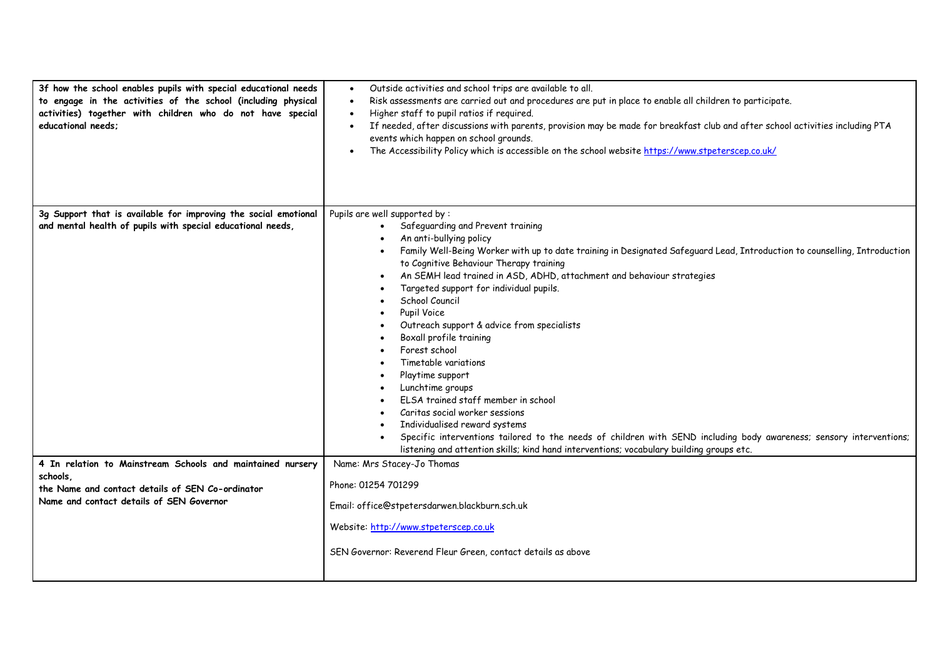| 3f how the school enables pupils with special educational needs<br>to engage in the activities of the school (including physical<br>activities) together with children who do not have special<br>educational needs: | Outside activities and school trips are available to all.<br>Risk assessments are carried out and procedures are put in place to enable all children to participate.<br>Higher staff to pupil ratios if required.<br>$\bullet$<br>If needed, after discussions with parents, provision may be made for breakfast club and after school activities including PTA<br>events which happen on school grounds.<br>The Accessibility Policy which is accessible on the school website https://www.stpeterscep.co.uk/<br>$\bullet$                                                                                                                                                                                                                                                                                                                                                                                         |
|----------------------------------------------------------------------------------------------------------------------------------------------------------------------------------------------------------------------|---------------------------------------------------------------------------------------------------------------------------------------------------------------------------------------------------------------------------------------------------------------------------------------------------------------------------------------------------------------------------------------------------------------------------------------------------------------------------------------------------------------------------------------------------------------------------------------------------------------------------------------------------------------------------------------------------------------------------------------------------------------------------------------------------------------------------------------------------------------------------------------------------------------------|
| 3g Support that is available for improving the social emotional<br>and mental health of pupils with special educational needs,                                                                                       | Pupils are well supported by :<br>Safeguarding and Prevent training<br>An anti-bullying policy<br>Family Well-Being Worker with up to date training in Designated Safeguard Lead, Introduction to counselling, Introduction<br>to Cognitive Behaviour Therapy training<br>An SEMH lead trained in ASD, ADHD, attachment and behaviour strategies<br>Targeted support for individual pupils.<br>School Council<br>Pupil Voice<br>Outreach support & advice from specialists<br>Boxall profile training<br>Forest school<br>Timetable variations<br>Playtime support<br>Lunchtime groups<br>ELSA trained staff member in school<br>Caritas social worker sessions<br>Individualised reward systems<br>Specific interventions tailored to the needs of children with SEND including body awareness; sensory interventions;<br>listening and attention skills; kind hand interventions; vocabulary building groups etc. |
| 4 In relation to Mainstream Schools and maintained nursery<br>schools.<br>the Name and contact details of SEN Co-ordinator<br>Name and contact details of SEN Governor                                               | Name: Mrs Stacey-Jo Thomas<br>Phone: 01254 701299<br>Email: office@stpetersdarwen.blackburn.sch.uk<br>Website: http://www.stpeterscep.co.uk<br>SEN Governor: Reverend Fleur Green, contact details as above                                                                                                                                                                                                                                                                                                                                                                                                                                                                                                                                                                                                                                                                                                         |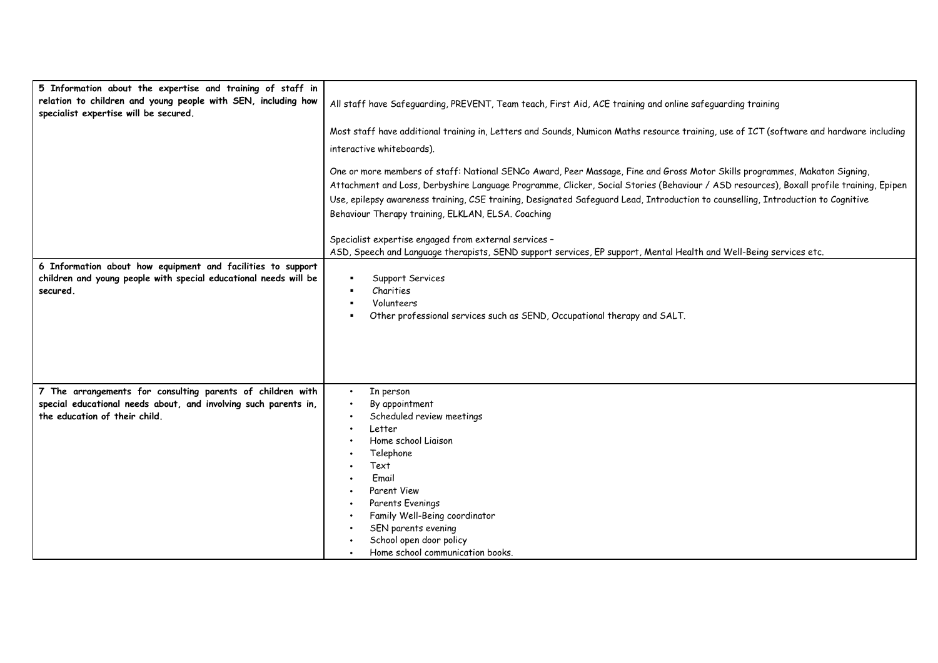| 5 Information about the expertise and training of staff in<br>relation to children and young people with SEN, including how<br>specialist expertise will be secured. | All staff have Safeguarding, PREVENT, Team teach, First Aid, ACE training and online safeguarding training                                                                                                                                                                                                                                                                                                                                                        |
|----------------------------------------------------------------------------------------------------------------------------------------------------------------------|-------------------------------------------------------------------------------------------------------------------------------------------------------------------------------------------------------------------------------------------------------------------------------------------------------------------------------------------------------------------------------------------------------------------------------------------------------------------|
|                                                                                                                                                                      | Most staff have additional training in, Letters and Sounds, Numicon Maths resource training, use of ICT (software and hardware including<br>interactive whiteboards).                                                                                                                                                                                                                                                                                             |
|                                                                                                                                                                      | One or more members of staff: National SENCo Award, Peer Massage, Fine and Gross Motor Skills programmes, Makaton Signing,<br>Attachment and Loss, Derbyshire Language Programme, Clicker, Social Stories (Behaviour / ASD resources), Boxall profile training, Epipen<br>Use, epilepsy awareness training, CSE training, Designated Safeguard Lead, Introduction to counselling, Introduction to Cognitive<br>Behaviour Therapy training, ELKLAN, ELSA. Coaching |
|                                                                                                                                                                      | Specialist expertise engaged from external services -<br>ASD, Speech and Language therapists, SEND support services, EP support, Mental Health and Well-Being services etc.                                                                                                                                                                                                                                                                                       |
| 6 Information about how equipment and facilities to support<br>children and young people with special educational needs will be<br>secured.                          | Support Services<br>Charities<br>Volunteers<br>٠<br>Other professional services such as SEND, Occupational therapy and SALT.                                                                                                                                                                                                                                                                                                                                      |
| 7 The arrangements for consulting parents of children with<br>special educational needs about, and involving such parents in,<br>the education of their child.       | In person<br>By appointment<br>Scheduled review meetings<br>Letter<br>Home school Liaison<br>Telephone<br>Text<br>Email<br>Parent View<br>Parents Evenings<br>Family Well-Being coordinator<br>SEN parents evening<br>School open door policy<br>Home school communication books.                                                                                                                                                                                 |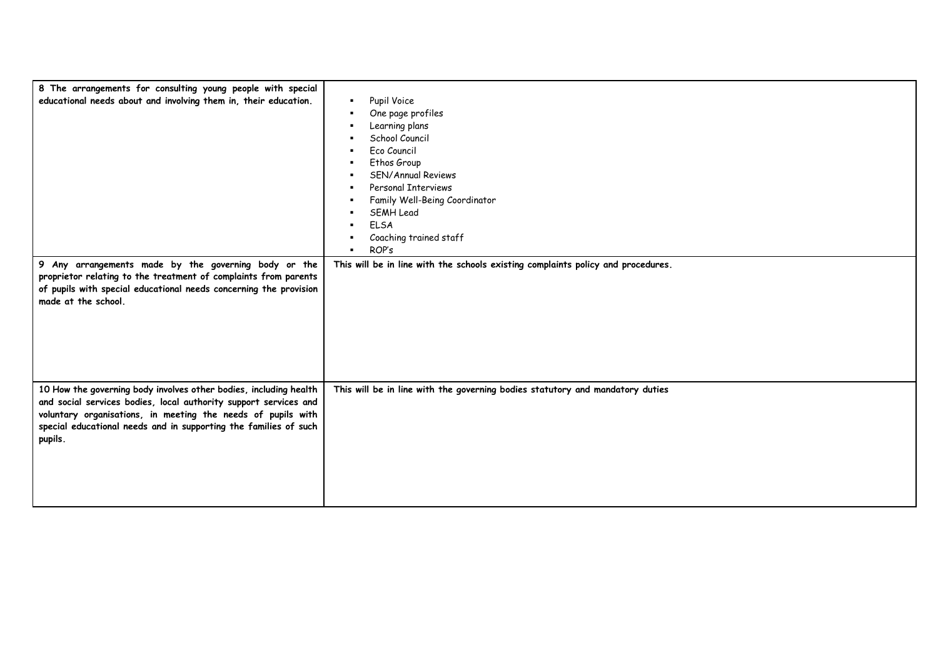| 8 The arrangements for consulting young people with special<br>educational needs about and involving them in, their education.                                                                                                                                                       | Pupil Voice<br>One page profiles<br>Learning plans<br>٠<br>School Council<br>Eco Council<br>Ethos Group<br>SEN/Annual Reviews<br>Personal Interviews<br>Family Well-Being Coordinator<br><b>SEMH Lead</b><br><b>ELSA</b><br>Coaching trained staff<br>ROP's |
|--------------------------------------------------------------------------------------------------------------------------------------------------------------------------------------------------------------------------------------------------------------------------------------|-------------------------------------------------------------------------------------------------------------------------------------------------------------------------------------------------------------------------------------------------------------|
| 9 Any arrangements made by the governing body or the<br>proprietor relating to the treatment of complaints from parents<br>of pupils with special educational needs concerning the provision<br>made at the school.                                                                  | This will be in line with the schools existing complaints policy and procedures.                                                                                                                                                                            |
| 10 How the governing body involves other bodies, including health<br>and social services bodies, local authority support services and<br>voluntary organisations, in meeting the needs of pupils with<br>special educational needs and in supporting the families of such<br>pupils. | This will be in line with the governing bodies statutory and mandatory duties                                                                                                                                                                               |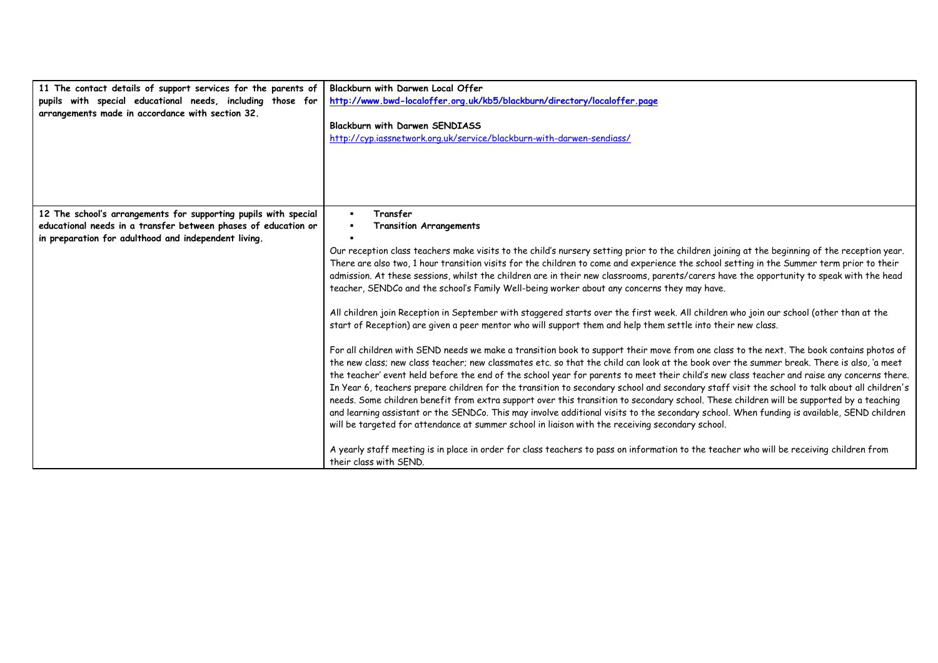| 11 The contact details of support services for the parents of<br>pupils with special educational needs, including those for<br>arrangements made in accordance with section 32.           | Blackburn with Darwen Local Offer<br>http://www.bwd-localoffer.org.uk/kb5/blackburn/directory/localoffer.page<br><b>Blackburn with Darwen SENDIASS</b><br>http://cyp.iassnetwork.org.uk/service/blackburn-with-darwen-sendiass/                                                                                                                                                                                                                                                                                                                                                                                                                                                                                                                                                                                                                                                                                                                                                                                                                                                                                                                                                                                                                                                                                                                                                                                                                                                                                                                                                                                                                                                                                                                                                                                                                                                                                                                                                                               |
|-------------------------------------------------------------------------------------------------------------------------------------------------------------------------------------------|---------------------------------------------------------------------------------------------------------------------------------------------------------------------------------------------------------------------------------------------------------------------------------------------------------------------------------------------------------------------------------------------------------------------------------------------------------------------------------------------------------------------------------------------------------------------------------------------------------------------------------------------------------------------------------------------------------------------------------------------------------------------------------------------------------------------------------------------------------------------------------------------------------------------------------------------------------------------------------------------------------------------------------------------------------------------------------------------------------------------------------------------------------------------------------------------------------------------------------------------------------------------------------------------------------------------------------------------------------------------------------------------------------------------------------------------------------------------------------------------------------------------------------------------------------------------------------------------------------------------------------------------------------------------------------------------------------------------------------------------------------------------------------------------------------------------------------------------------------------------------------------------------------------------------------------------------------------------------------------------------------------|
| 12 The school's arrangements for supporting pupils with special<br>educational needs in a transfer between phases of education or<br>in preparation for adulthood and independent living. | Transfer<br><b>Transition Arrangements</b><br>Our reception class teachers make visits to the child's nursery setting prior to the children joining at the beginning of the reception year.<br>There are also two, 1 hour transition visits for the children to come and experience the school setting in the Summer term prior to their<br>admission. At these sessions, whilst the children are in their new classrooms, parents/carers have the opportunity to speak with the head<br>teacher, SENDCo and the school's Family Well-being worker about any concerns they may have.<br>All children join Reception in September with staggered starts over the first week. All children who join our school (other than at the<br>start of Reception) are given a peer mentor who will support them and help them settle into their new class.<br>For all children with SEND needs we make a transition book to support their move from one class to the next. The book contains photos of<br>the new class; new class teacher; new classmates etc. so that the child can look at the book over the summer break. There is also, 'a meet<br>the teacher' event held before the end of the school year for parents to meet their child's new class teacher and raise any concerns there.<br>In Year 6, teachers prepare children for the transition to secondary school and secondary staff visit the school to talk about all children's<br>needs. Some children benefit from extra support over this transition to secondary school. These children will be supported by a teaching<br>and learning assistant or the SENDCo. This may involve additional visits to the secondary school. When funding is available, SEND children<br>will be targeted for attendance at summer school in liaison with the receiving secondary school.<br>A yearly staff meeting is in place in order for class teachers to pass on information to the teacher who will be receiving children from<br>their class with SEND. |